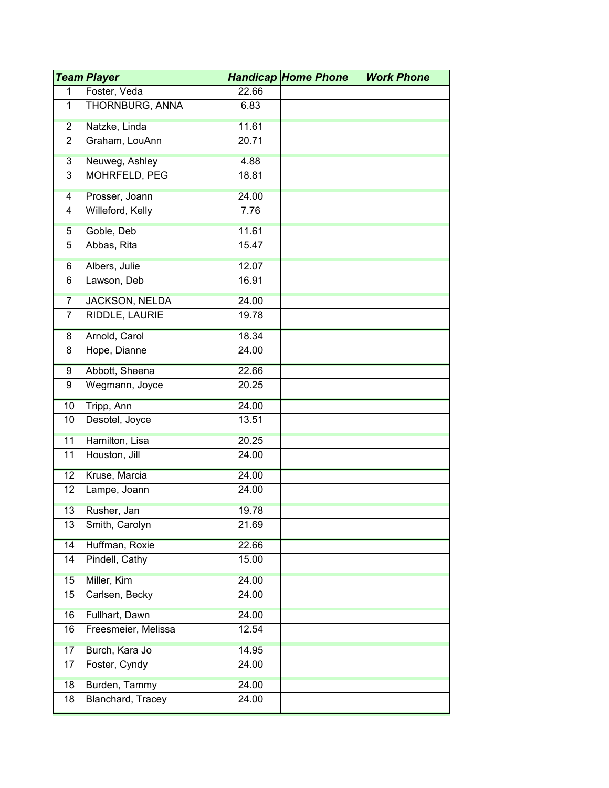|                | <u>Team Player</u>    |       | <b>Handicap Home Phone</b> | <b>Work Phone</b> |
|----------------|-----------------------|-------|----------------------------|-------------------|
| $\mathbf{1}$   | Foster, Veda          | 22.66 |                            |                   |
| 1              | THORNBURG, ANNA       | 6.83  |                            |                   |
| $\overline{2}$ | Natzke, Linda         | 11.61 |                            |                   |
| $\overline{2}$ | Graham, LouAnn        | 20.71 |                            |                   |
| $\overline{3}$ | Neuweg, Ashley        | 4.88  |                            |                   |
| 3              | MOHRFELD, PEG         | 18.81 |                            |                   |
| $\overline{4}$ | Prosser, Joann        | 24.00 |                            |                   |
| 4              | Willeford, Kelly      | 7.76  |                            |                   |
| 5              | Goble, Deb            | 11.61 |                            |                   |
| 5              | Abbas, Rita           | 15.47 |                            |                   |
| $6\overline{}$ | Albers, Julie         | 12.07 |                            |                   |
| 6              | Lawson, Deb           | 16.91 |                            |                   |
| $\overline{7}$ | <b>JACKSON, NELDA</b> | 24.00 |                            |                   |
| $\overline{7}$ | RIDDLE, LAURIE        | 19.78 |                            |                   |
| 8              | Arnold, Carol         | 18.34 |                            |                   |
| 8              | Hope, Dianne          | 24.00 |                            |                   |
| 9              | Abbott, Sheena        | 22.66 |                            |                   |
| 9              | Wegmann, Joyce        | 20.25 |                            |                   |
| 10             | Tripp, Ann            | 24.00 |                            |                   |
| 10             | Desotel, Joyce        | 13.51 |                            |                   |
| 11             | Hamilton, Lisa        | 20.25 |                            |                   |
| 11             | Houston, Jill         | 24.00 |                            |                   |
| 12             | Kruse, Marcia         | 24.00 |                            |                   |
| 12             | Lampe, Joann          | 24.00 |                            |                   |
| 13             | Rusher, Jan           | 19.78 |                            |                   |
| 13             | Smith, Carolyn        | 21.69 |                            |                   |
| 14             | Huffman, Roxie        | 22.66 |                            |                   |
| 14             | Pindell, Cathy        | 15.00 |                            |                   |
| 15             | Miller, Kim           | 24.00 |                            |                   |
| 15             | Carlsen, Becky        | 24.00 |                            |                   |
| 16             | Fullhart, Dawn        | 24.00 |                            |                   |
| 16             | Freesmeier, Melissa   | 12.54 |                            |                   |
| 17             | Burch, Kara Jo        | 14.95 |                            |                   |
| 17             | Foster, Cyndy         | 24.00 |                            |                   |
| 18             | Burden, Tammy         | 24.00 |                            |                   |
| 18             | Blanchard, Tracey     | 24.00 |                            |                   |